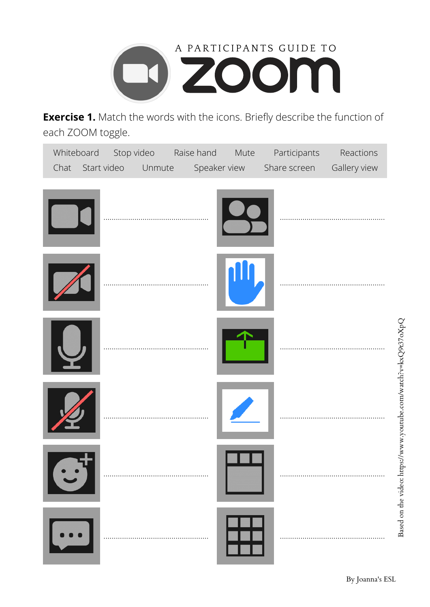

**Exercise 1.** Match the words with the icons. Briefly describe the function of each ZOOM toggle.

| Chat | Whiteboard Stop video Raise hand Mute<br>Start video<br>Unmute | Speaker view | Participants<br>Share screen | Reactions<br>Gallery view |
|------|----------------------------------------------------------------|--------------|------------------------------|---------------------------|
|      |                                                                |              |                              |                           |
|      |                                                                |              |                              |                           |
|      |                                                                |              |                              |                           |
|      |                                                                |              |                              |                           |
|      |                                                                |              |                              |                           |
|      |                                                                |              |                              |                           |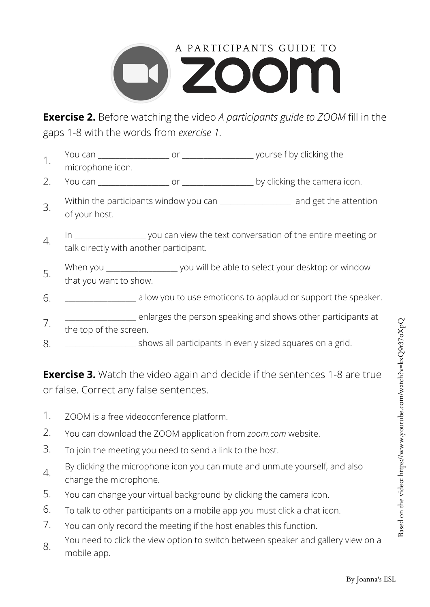

**Exercise 2.** Before watching the video *A participants guide to ZOOM* fill in the gaps 1-8 with the words from *exercise 1.*

- You can all the same of the setting vourself by clicking the microphone icon. 1.
- You can \_\_\_\_\_\_\_\_\_\_\_\_\_\_\_\_\_\_\_\_ or \_\_\_\_\_\_\_\_\_\_\_\_\_\_\_\_\_\_\_\_ by clicking the camera icon. 2.
- Within the participants window you can **which is a set than the attention** of your host. 3.
- In  $\Box$  you can view the text conversation of the entire meeting or talk directly with another participant. 4.
- When you \_\_\_\_\_\_\_\_\_\_\_\_\_\_\_\_\_\_\_\_ you will be able to select your desktop or window that you want to show. 5.
- \_\_\_\_\_\_\_\_\_\_\_\_\_\_\_\_\_\_\_\_ allow you to use emoticons to applaud or support the speaker. 6.
- \_\_\_\_\_\_\_\_\_\_\_\_\_\_\_\_\_\_\_\_ enlarges the person speaking and shows other participants at the top of the screen. 7.
- \_\_\_\_\_\_\_\_\_\_\_\_\_\_\_\_\_\_\_\_ shows all participants in evenly sized squares on a grid. 8.

**Exercise 3.** Watch the video again and decide if the sentences 1-8 are true or false. Correct any false sentences.

- 1. ZOOM is a free videoconference platform.
- 2. You can download the ZOOM application from *zoom.com* website.
- 3. To join the meeting you need to send a link to the host.
- 4. By clicking the microphone icon you can mute and unmute yourself, and also change the microphone.
- 5. You can change your virtual background by clicking the camera icon.
- 6. To talk to other participants on a mobile app you must click a chat icon.
- 7. You can only record the meeting if the host enables this function.
- You need to click the view option to switch between speaker and gallery view on a 8. rod recards<br>mobile app.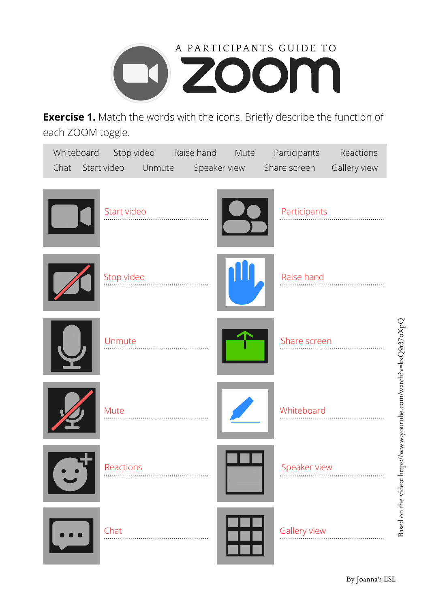

**Exercise 1.** Match the words with the icons. Briefly describe the function of each ZOOM toggle.

| Whiteboard<br>Chat | Stop video Raise hand<br>Start video<br>Unmute | Mute<br>Speaker view | Participants<br>Share screen | Reactions<br>Gallery view                                       |
|--------------------|------------------------------------------------|----------------------|------------------------------|-----------------------------------------------------------------|
|                    | Start video                                    |                      | Participants                 |                                                                 |
|                    | Stop video                                     |                      | Raise hand                   |                                                                 |
|                    | Unmute                                         |                      | Share screen                 |                                                                 |
|                    | Mute                                           |                      | Whiteboard                   | Based on the video: https://www.youtube.com/watch?v=kxQ9t37oXpQ |
|                    | Reactions                                      |                      | Speaker view                 |                                                                 |
|                    | Chat                                           |                      | Gallery view                 |                                                                 |

on the video: https://w ww.y outu be.co m/watch?v=k xQ9t37o  $\stackrel{\text{Q}}{\times}$